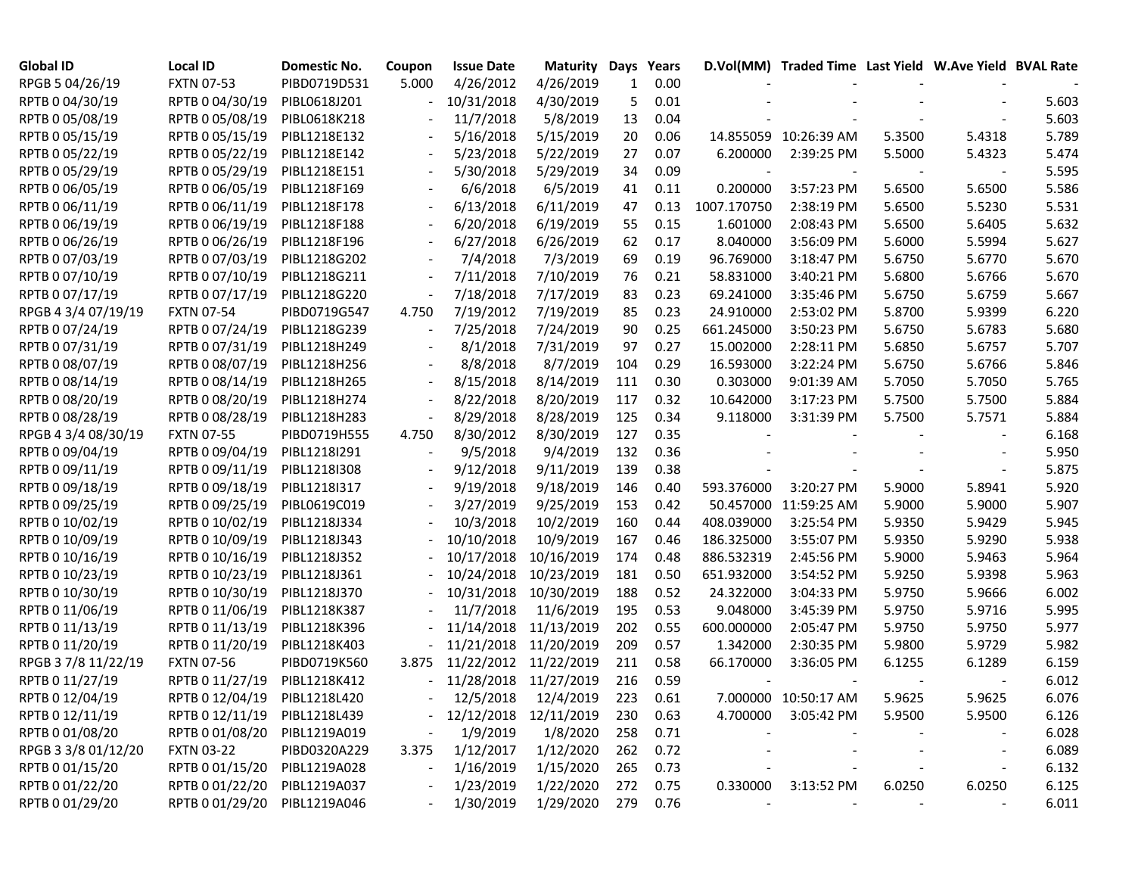| <b>Global ID</b>    | <b>Local ID</b>   | Domestic No. | Coupon                   | <b>Issue Date</b>     | <b>Maturity Days</b>  |     | Years    |             | D.Vol(MM) Traded Time Last Yield W.Ave Yield BVAL Rate |        |        |       |
|---------------------|-------------------|--------------|--------------------------|-----------------------|-----------------------|-----|----------|-------------|--------------------------------------------------------|--------|--------|-------|
| RPGB 5 04/26/19     | <b>FXTN 07-53</b> | PIBD0719D531 | 5.000                    | 4/26/2012             | 4/26/2019             | 1   | 0.00     |             |                                                        |        |        |       |
| RPTB 0 04/30/19     | RPTB 0 04/30/19   | PIBL0618J201 |                          | 10/31/2018            | 4/30/2019             | 5   | 0.01     |             |                                                        |        |        | 5.603 |
| RPTB 0 05/08/19     | RPTB 0 05/08/19   | PIBL0618K218 |                          | 11/7/2018             | 5/8/2019              | 13  | 0.04     |             |                                                        |        |        | 5.603 |
| RPTB 0 05/15/19     | RPTB 0 05/15/19   | PIBL1218E132 |                          | 5/16/2018             | 5/15/2019             | 20  | 0.06     |             | 14.855059 10:26:39 AM                                  | 5.3500 | 5.4318 | 5.789 |
| RPTB 0 05/22/19     | RPTB 0 05/22/19   | PIBL1218E142 | $\overline{\phantom{a}}$ | 5/23/2018             | 5/22/2019             | 27  | 0.07     | 6.200000    | 2:39:25 PM                                             | 5.5000 | 5.4323 | 5.474 |
| RPTB 0 05/29/19     | RPTB 0 05/29/19   | PIBL1218E151 | $\overline{\phantom{a}}$ | 5/30/2018             | 5/29/2019             | 34  | 0.09     |             |                                                        |        |        | 5.595 |
| RPTB 0 06/05/19     | RPTB 0 06/05/19   | PIBL1218F169 |                          | 6/6/2018              | 6/5/2019              | 41  | 0.11     | 0.200000    | 3:57:23 PM                                             | 5.6500 | 5.6500 | 5.586 |
| RPTB 0 06/11/19     | RPTB 0 06/11/19   | PIBL1218F178 | $\blacksquare$           | 6/13/2018             | 6/11/2019             | 47  | 0.13     | 1007.170750 | 2:38:19 PM                                             | 5.6500 | 5.5230 | 5.531 |
| RPTB 0 06/19/19     | RPTB 0 06/19/19   | PIBL1218F188 | $\overline{\phantom{a}}$ | 6/20/2018             | 6/19/2019             | 55  | 0.15     | 1.601000    | 2:08:43 PM                                             | 5.6500 | 5.6405 | 5.632 |
| RPTB 0 06/26/19     | RPTB 0 06/26/19   | PIBL1218F196 | $\overline{\phantom{a}}$ | 6/27/2018             | 6/26/2019             | 62  | 0.17     | 8.040000    | 3:56:09 PM                                             | 5.6000 | 5.5994 | 5.627 |
| RPTB 0 07/03/19     | RPTB 0 07/03/19   | PIBL1218G202 |                          | 7/4/2018              | 7/3/2019              | 69  | 0.19     | 96.769000   | 3:18:47 PM                                             | 5.6750 | 5.6770 | 5.670 |
| RPTB 0 07/10/19     | RPTB 0 07/10/19   | PIBL1218G211 | $\overline{\phantom{a}}$ | 7/11/2018             | 7/10/2019             | 76  | 0.21     | 58.831000   | 3:40:21 PM                                             | 5.6800 | 5.6766 | 5.670 |
| RPTB 0 07/17/19     | RPTB 0 07/17/19   | PIBL1218G220 | $\overline{\phantom{a}}$ | 7/18/2018             | 7/17/2019             | 83  | 0.23     | 69.241000   | 3:35:46 PM                                             | 5.6750 | 5.6759 | 5.667 |
| RPGB 4 3/4 07/19/19 | <b>FXTN 07-54</b> | PIBD0719G547 | 4.750                    | 7/19/2012             | 7/19/2019             | 85  | 0.23     | 24.910000   | 2:53:02 PM                                             | 5.8700 | 5.9399 | 6.220 |
| RPTB 0 07/24/19     | RPTB 0 07/24/19   | PIBL1218G239 |                          | 7/25/2018             | 7/24/2019             | 90  | 0.25     | 661.245000  | 3:50:23 PM                                             | 5.6750 | 5.6783 | 5.680 |
| RPTB 0 07/31/19     | RPTB 0 07/31/19   | PIBL1218H249 |                          | 8/1/2018              | 7/31/2019             | 97  | 0.27     | 15.002000   | 2:28:11 PM                                             | 5.6850 | 5.6757 | 5.707 |
| RPTB 0 08/07/19     | RPTB 0 08/07/19   | PIBL1218H256 |                          | 8/8/2018              | 8/7/2019              | 104 | 0.29     | 16.593000   | 3:22:24 PM                                             | 5.6750 | 5.6766 | 5.846 |
| RPTB 0 08/14/19     | RPTB 0 08/14/19   | PIBL1218H265 | $\overline{\phantom{a}}$ | 8/15/2018             | 8/14/2019             | 111 | 0.30     | 0.303000    | 9:01:39 AM                                             | 5.7050 | 5.7050 | 5.765 |
| RPTB 0 08/20/19     | RPTB 0 08/20/19   | PIBL1218H274 |                          | 8/22/2018             | 8/20/2019             | 117 | 0.32     | 10.642000   | 3:17:23 PM                                             | 5.7500 | 5.7500 | 5.884 |
| RPTB 0 08/28/19     | RPTB 0 08/28/19   | PIBL1218H283 | $\blacksquare$           | 8/29/2018             | 8/28/2019             | 125 | 0.34     | 9.118000    | 3:31:39 PM                                             | 5.7500 | 5.7571 | 5.884 |
| RPGB 4 3/4 08/30/19 | <b>FXTN 07-55</b> | PIBD0719H555 | 4.750                    | 8/30/2012             | 8/30/2019             | 127 | 0.35     |             |                                                        |        |        | 6.168 |
| RPTB 0 09/04/19     | RPTB 0 09/04/19   | PIBL1218I291 |                          | 9/5/2018              | 9/4/2019              | 132 | 0.36     |             |                                                        |        |        | 5.950 |
| RPTB 0 09/11/19     | RPTB 0 09/11/19   | PIBL1218I308 |                          | 9/12/2018             | 9/11/2019             | 139 | 0.38     |             |                                                        |        |        | 5.875 |
| RPTB 0 09/18/19     | RPTB 0 09/18/19   | PIBL1218I317 |                          | 9/19/2018             | 9/18/2019             | 146 | 0.40     | 593.376000  | 3:20:27 PM                                             | 5.9000 | 5.8941 | 5.920 |
| RPTB 0 09/25/19     | RPTB 0 09/25/19   | PIBL0619C019 |                          | 3/27/2019             | 9/25/2019             | 153 | 0.42     | 50.457000   | 11:59:25 AM                                            | 5.9000 | 5.9000 | 5.907 |
| RPTB 0 10/02/19     | RPTB 0 10/02/19   | PIBL1218J334 |                          | 10/3/2018             | 10/2/2019             | 160 | 0.44     | 408.039000  | 3:25:54 PM                                             | 5.9350 | 5.9429 | 5.945 |
| RPTB 0 10/09/19     | RPTB 0 10/09/19   | PIBL1218J343 |                          | 10/10/2018            | 10/9/2019             | 167 | 0.46     | 186.325000  | 3:55:07 PM                                             | 5.9350 | 5.9290 | 5.938 |
| RPTB 0 10/16/19     | RPTB 0 10/16/19   | PIBL1218J352 |                          | 10/17/2018            | 10/16/2019            | 174 | 0.48     | 886.532319  | 2:45:56 PM                                             | 5.9000 | 5.9463 | 5.964 |
| RPTB 0 10/23/19     | RPTB 0 10/23/19   | PIBL1218J361 |                          | 10/24/2018            | 10/23/2019            | 181 | 0.50     | 651.932000  | 3:54:52 PM                                             | 5.9250 | 5.9398 | 5.963 |
| RPTB 0 10/30/19     | RPTB 0 10/30/19   | PIBL1218J370 |                          |                       | 10/31/2018 10/30/2019 | 188 | 0.52     | 24.322000   | 3:04:33 PM                                             | 5.9750 | 5.9666 | 6.002 |
| RPTB 0 11/06/19     | RPTB 0 11/06/19   | PIBL1218K387 |                          | 11/7/2018             | 11/6/2019             | 195 | 0.53     | 9.048000    | 3:45:39 PM                                             | 5.9750 | 5.9716 | 5.995 |
| RPTB 0 11/13/19     | RPTB 0 11/13/19   | PIBL1218K396 |                          |                       | 11/14/2018 11/13/2019 | 202 | 0.55     | 600.000000  | 2:05:47 PM                                             | 5.9750 | 5.9750 | 5.977 |
| RPTB 0 11/20/19     | RPTB 0 11/20/19   | PIBL1218K403 | $\overline{\phantom{a}}$ |                       | 11/21/2018 11/20/2019 | 209 | 0.57     | 1.342000    | 2:30:35 PM                                             | 5.9800 | 5.9729 | 5.982 |
| RPGB 37/8 11/22/19  | <b>FXTN 07-56</b> | PIBD0719K560 | 3.875                    |                       | 11/22/2012 11/22/2019 | 211 | 0.58     | 66.170000   | 3:36:05 PM                                             | 6.1255 | 6.1289 | 6.159 |
| RPTB 0 11/27/19     | RPTB 0 11/27/19   | PIBL1218K412 |                          |                       | 11/28/2018 11/27/2019 | 216 | 0.59     |             |                                                        |        |        | 6.012 |
| RPTB 0 12/04/19     | RPTB 0 12/04/19   | PIBL1218L420 |                          |                       | 12/5/2018  12/4/2019  | 223 | 0.61     |             | 7.000000 10:50:17 AM                                   | 5.9625 | 5.9625 | 6.076 |
| RPTB 0 12/11/19     | RPTB 0 12/11/19   | PIBL1218L439 |                          | 12/12/2018 12/11/2019 |                       | 230 | 0.63     |             | 4.700000 3:05:42 PM                                    | 5.9500 | 5.9500 | 6.126 |
| RPTB 0 01/08/20     | RPTB 0 01/08/20   | PIBL1219A019 |                          | 1/9/2019              | 1/8/2020              | 258 | 0.71     |             |                                                        |        |        | 6.028 |
| RPGB 3 3/8 01/12/20 | <b>FXTN 03-22</b> | PIBD0320A229 | 3.375                    | 1/12/2017             | 1/12/2020             | 262 | 0.72     |             |                                                        |        |        | 6.089 |
| RPTB 0 01/15/20     | RPTB 0 01/15/20   | PIBL1219A028 |                          | 1/16/2019             | 1/15/2020             | 265 | 0.73     |             |                                                        |        |        | 6.132 |
| RPTB 0 01/22/20     | RPTB 0 01/22/20   | PIBL1219A037 |                          | 1/23/2019             | 1/22/2020             | 272 | 0.75     | 0.330000    | 3:13:52 PM                                             | 6.0250 | 6.0250 | 6.125 |
| RPTB 0 01/29/20     | RPTB 0 01/29/20   | PIBL1219A046 |                          | 1/30/2019             | 1/29/2020             |     | 279 0.76 |             |                                                        |        |        | 6.011 |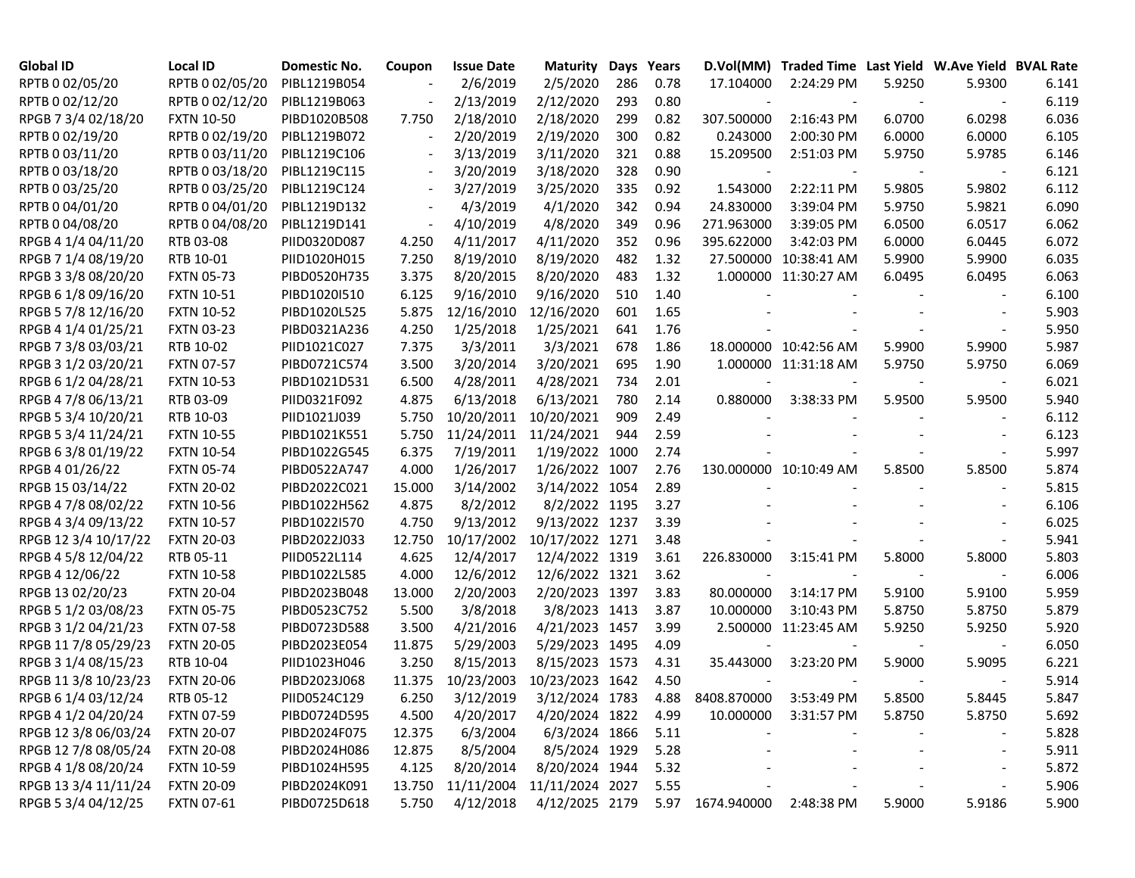| <b>Global ID</b>     | <b>Local ID</b>   | Domestic No. | Coupon                   | <b>Issue Date</b> | <b>Maturity</b> |     | Days Years | D.Vol(MM)        | Traded Time Last Yield W.Ave Yield BVAL Rate |        |                          |       |
|----------------------|-------------------|--------------|--------------------------|-------------------|-----------------|-----|------------|------------------|----------------------------------------------|--------|--------------------------|-------|
| RPTB 0 02/05/20      | RPTB 0 02/05/20   | PIBL1219B054 |                          | 2/6/2019          | 2/5/2020        | 286 | 0.78       | 17.104000        | 2:24:29 PM                                   | 5.9250 | 5.9300                   | 6.141 |
| RPTB 0 02/12/20      | RPTB 0 02/12/20   | PIBL1219B063 |                          | 2/13/2019         | 2/12/2020       | 293 | 0.80       |                  |                                              |        |                          | 6.119 |
| RPGB 7 3/4 02/18/20  | <b>FXTN 10-50</b> | PIBD1020B508 | 7.750                    | 2/18/2010         | 2/18/2020       | 299 | 0.82       | 307.500000       | 2:16:43 PM                                   | 6.0700 | 6.0298                   | 6.036 |
| RPTB 0 02/19/20      | RPTB 0 02/19/20   | PIBL1219B072 |                          | 2/20/2019         | 2/19/2020       | 300 | 0.82       | 0.243000         | 2:00:30 PM                                   | 6.0000 | 6.0000                   | 6.105 |
| RPTB 0 03/11/20      | RPTB 0 03/11/20   | PIBL1219C106 |                          | 3/13/2019         | 3/11/2020       | 321 | 0.88       | 15.209500        | 2:51:03 PM                                   | 5.9750 | 5.9785                   | 6.146 |
| RPTB 0 03/18/20      | RPTB 0 03/18/20   | PIBL1219C115 | $\overline{\phantom{a}}$ | 3/20/2019         | 3/18/2020       | 328 | 0.90       |                  |                                              |        |                          | 6.121 |
| RPTB 0 03/25/20      | RPTB 0 03/25/20   | PIBL1219C124 | $\overline{\phantom{a}}$ | 3/27/2019         | 3/25/2020       | 335 | 0.92       | 1.543000         | 2:22:11 PM                                   | 5.9805 | 5.9802                   | 6.112 |
| RPTB 0 04/01/20      | RPTB 0 04/01/20   | PIBL1219D132 | $\overline{\phantom{a}}$ | 4/3/2019          | 4/1/2020        | 342 | 0.94       | 24.830000        | 3:39:04 PM                                   | 5.9750 | 5.9821                   | 6.090 |
| RPTB 0 04/08/20      | RPTB 0 04/08/20   | PIBL1219D141 | $\overline{\phantom{a}}$ | 4/10/2019         | 4/8/2020        | 349 | 0.96       | 271.963000       | 3:39:05 PM                                   | 6.0500 | 6.0517                   | 6.062 |
| RPGB 4 1/4 04/11/20  | RTB 03-08         | PIID0320D087 | 4.250                    | 4/11/2017         | 4/11/2020       | 352 | 0.96       | 395.622000       | 3:42:03 PM                                   | 6.0000 | 6.0445                   | 6.072 |
| RPGB 7 1/4 08/19/20  | RTB 10-01         | PIID1020H015 | 7.250                    | 8/19/2010         | 8/19/2020       | 482 | 1.32       |                  | 27.500000 10:38:41 AM                        | 5.9900 | 5.9900                   | 6.035 |
| RPGB 3 3/8 08/20/20  | <b>FXTN 05-73</b> | PIBD0520H735 | 3.375                    | 8/20/2015         | 8/20/2020       | 483 | 1.32       |                  | 1.000000 11:30:27 AM                         | 6.0495 | 6.0495                   | 6.063 |
| RPGB 6 1/8 09/16/20  | <b>FXTN 10-51</b> | PIBD1020I510 | 6.125                    | 9/16/2010         | 9/16/2020       | 510 | 1.40       |                  |                                              |        |                          | 6.100 |
| RPGB 5 7/8 12/16/20  | <b>FXTN 10-52</b> | PIBD1020L525 | 5.875                    | 12/16/2010        | 12/16/2020      | 601 | 1.65       |                  |                                              |        |                          | 5.903 |
| RPGB 4 1/4 01/25/21  | <b>FXTN 03-23</b> | PIBD0321A236 | 4.250                    | 1/25/2018         | 1/25/2021       | 641 | 1.76       |                  |                                              |        |                          | 5.950 |
| RPGB 7 3/8 03/03/21  | RTB 10-02         | PIID1021C027 | 7.375                    | 3/3/2011          | 3/3/2021        | 678 | 1.86       |                  | 18.000000 10:42:56 AM                        | 5.9900 | 5.9900                   | 5.987 |
| RPGB 3 1/2 03/20/21  | <b>FXTN 07-57</b> | PIBD0721C574 | 3.500                    | 3/20/2014         | 3/20/2021       | 695 | 1.90       |                  | 1.000000 11:31:18 AM                         | 5.9750 | 5.9750                   | 6.069 |
| RPGB 6 1/2 04/28/21  | <b>FXTN 10-53</b> | PIBD1021D531 | 6.500                    | 4/28/2011         | 4/28/2021       | 734 | 2.01       |                  |                                              |        | $\overline{\phantom{a}}$ | 6.021 |
| RPGB 4 7/8 06/13/21  | RTB 03-09         | PIID0321F092 | 4.875                    | 6/13/2018         | 6/13/2021       | 780 | 2.14       | 0.880000         | 3:38:33 PM                                   | 5.9500 | 5.9500                   | 5.940 |
| RPGB 5 3/4 10/20/21  | RTB 10-03         | PIID1021J039 | 5.750                    | 10/20/2011        | 10/20/2021      | 909 | 2.49       |                  |                                              |        |                          | 6.112 |
| RPGB 5 3/4 11/24/21  | <b>FXTN 10-55</b> | PIBD1021K551 | 5.750                    | 11/24/2011        | 11/24/2021      | 944 | 2.59       |                  |                                              |        |                          | 6.123 |
| RPGB 63/8 01/19/22   | <b>FXTN 10-54</b> | PIBD1022G545 | 6.375                    | 7/19/2011         | 1/19/2022 1000  |     | 2.74       |                  |                                              |        |                          | 5.997 |
| RPGB 4 01/26/22      | <b>FXTN 05-74</b> | PIBD0522A747 | 4.000                    | 1/26/2017         | 1/26/2022 1007  |     | 2.76       |                  | 130.000000 10:10:49 AM                       | 5.8500 | 5.8500                   | 5.874 |
| RPGB 15 03/14/22     | <b>FXTN 20-02</b> | PIBD2022C021 | 15.000                   | 3/14/2002         | 3/14/2022 1054  |     | 2.89       |                  |                                              |        |                          | 5.815 |
| RPGB 4 7/8 08/02/22  | <b>FXTN 10-56</b> | PIBD1022H562 | 4.875                    | 8/2/2012          | 8/2/2022 1195   |     | 3.27       |                  |                                              |        |                          | 6.106 |
| RPGB 4 3/4 09/13/22  | <b>FXTN 10-57</b> | PIBD1022I570 | 4.750                    | 9/13/2012         | 9/13/2022 1237  |     | 3.39       |                  |                                              |        |                          | 6.025 |
| RPGB 12 3/4 10/17/22 | <b>FXTN 20-03</b> | PIBD2022J033 | 12.750                   | 10/17/2002        | 10/17/2022 1271 |     | 3.48       |                  |                                              |        |                          | 5.941 |
| RPGB 4 5/8 12/04/22  | RTB 05-11         | PIID0522L114 | 4.625                    | 12/4/2017         | 12/4/2022 1319  |     | 3.61       | 226.830000       | 3:15:41 PM                                   | 5.8000 | 5.8000                   | 5.803 |
| RPGB 4 12/06/22      | <b>FXTN 10-58</b> | PIBD1022L585 | 4.000                    | 12/6/2012         | 12/6/2022 1321  |     | 3.62       |                  |                                              |        |                          | 6.006 |
| RPGB 13 02/20/23     | <b>FXTN 20-04</b> | PIBD2023B048 | 13.000                   | 2/20/2003         | 2/20/2023 1397  |     | 3.83       | 80.000000        | 3:14:17 PM                                   | 5.9100 | 5.9100                   | 5.959 |
| RPGB 5 1/2 03/08/23  | <b>FXTN 05-75</b> | PIBD0523C752 | 5.500                    | 3/8/2018          | 3/8/2023 1413   |     | 3.87       | 10.000000        | 3:10:43 PM                                   | 5.8750 | 5.8750                   | 5.879 |
| RPGB 3 1/2 04/21/23  | <b>FXTN 07-58</b> | PIBD0723D588 | 3.500                    | 4/21/2016         | 4/21/2023 1457  |     | 3.99       |                  | 2.500000 11:23:45 AM                         | 5.9250 | 5.9250                   | 5.920 |
| RPGB 11 7/8 05/29/23 | <b>FXTN 20-05</b> | PIBD2023E054 | 11.875                   | 5/29/2003         | 5/29/2023 1495  |     | 4.09       |                  |                                              |        | $\overline{\phantom{a}}$ | 6.050 |
| RPGB 3 1/4 08/15/23  | RTB 10-04         | PIID1023H046 | 3.250                    | 8/15/2013         | 8/15/2023 1573  |     | 4.31       | 35.443000        | 3:23:20 PM                                   | 5.9000 | 5.9095                   | 6.221 |
| RPGB 11 3/8 10/23/23 | <b>FXTN 20-06</b> | PIBD2023J068 | 11.375                   | 10/23/2003        | 10/23/2023 1642 |     | 4.50       |                  |                                              |        |                          | 5.914 |
| RPGB 6 1/4 03/12/24  | RTB 05-12         | PIID0524C129 | 6.250                    | 3/12/2019         | 3/12/2024 1783  |     | 4.88       | 8408.870000      | 3:53:49 PM                                   | 5.8500 | 5.8445                   | 5.847 |
| RPGB 4 1/2 04/20/24  | <b>FXTN 07-59</b> | PIBD0724D595 | 4.500                    | 4/20/2017         | 4/20/2024 1822  |     | 4.99       | 10.000000        | 3:31:57 PM                                   | 5.8750 | 5.8750                   | 5.692 |
| RPGB 12 3/8 06/03/24 | <b>FXTN 20-07</b> | PIBD2024F075 | 12.375                   | 6/3/2004          | 6/3/2024 1866   |     | 5.11       |                  |                                              |        |                          | 5.828 |
| RPGB 12 7/8 08/05/24 | <b>FXTN 20-08</b> | PIBD2024H086 | 12.875                   | 8/5/2004          | 8/5/2024 1929   |     | 5.28       |                  |                                              |        | $\overline{\phantom{a}}$ | 5.911 |
| RPGB 4 1/8 08/20/24  | <b>FXTN 10-59</b> | PIBD1024H595 | 4.125                    | 8/20/2014         | 8/20/2024 1944  |     | 5.32       |                  |                                              |        |                          | 5.872 |
| RPGB 13 3/4 11/11/24 | <b>FXTN 20-09</b> | PIBD2024K091 | 13.750                   | 11/11/2004        | 11/11/2024 2027 |     | 5.55       |                  |                                              |        |                          | 5.906 |
| RPGB 5 3/4 04/12/25  | <b>FXTN 07-61</b> | PIBD0725D618 | 5.750                    | 4/12/2018         | 4/12/2025 2179  |     |            | 5.97 1674.940000 | 2:48:38 PM                                   | 5.9000 | 5.9186                   | 5.900 |
|                      |                   |              |                          |                   |                 |     |            |                  |                                              |        |                          |       |